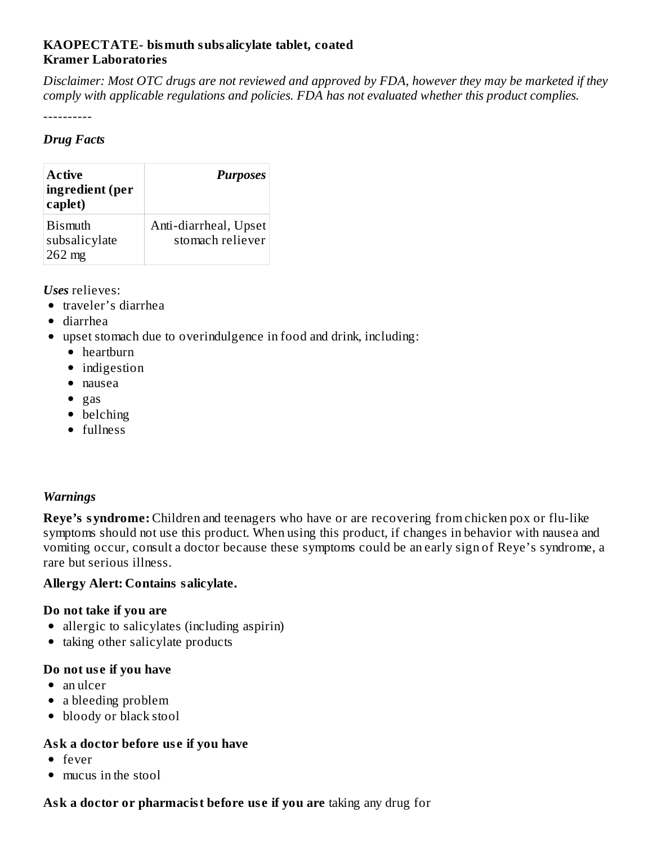## **KAOPECTATE- bismuth subsalicylate tablet, coated Kramer Laboratories**

Disclaimer: Most OTC drugs are not reviewed and approved by FDA, however they may be marketed if they *comply with applicable regulations and policies. FDA has not evaluated whether this product complies.*

----------

#### *Drug Facts*

| <b>Active</b><br>ingredient (per<br>caplet) | <b>Purposes</b>                           |
|---------------------------------------------|-------------------------------------------|
| <b>Bismuth</b><br>subsalicylate<br>262 mg   | Anti-diarrheal, Upset<br>stomach reliever |

*Uses* relieves:

- traveler's diarrhea
- diarrhea
- upset stomach due to overindulgence in food and drink, including:
	- heartburn
	- indigestion
	- nausea
	- $\bullet$  gas
	- belching
	- fullness

#### *Warnings*

**Reye's syndrome:** Children and teenagers who have or are recovering from chicken pox or flu-like symptoms should not use this product. When using this product, if changes in behavior with nausea and vomiting occur, consult a doctor because these symptoms could be an early sign of Reye's syndrome, a rare but serious illness.

#### **Allergy Alert: Contains salicylate.**

#### **Do not take if you are**

- allergic to salicylates (including aspirin)
- $\bullet$  taking other salicylate products

#### **Do not us e if you have**

- an ulcer
- a bleeding problem
- bloody or black stool

#### **Ask a doctor before us e if you have**

- fever
- mucus in the stool

## **Ask a doctor or pharmacist before us e if you are** taking any drug for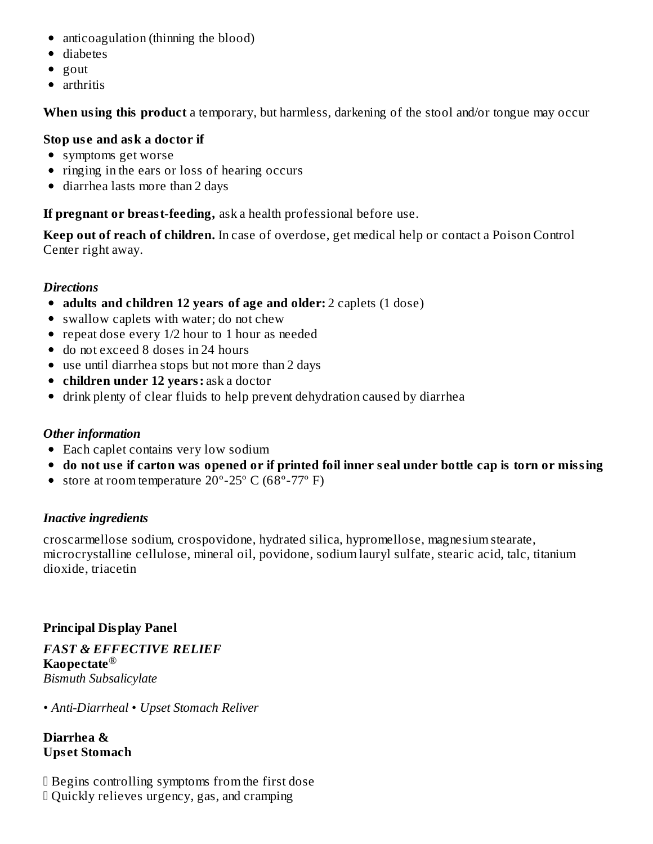- anticoagulation (thinning the blood)
- diabetes
- $\bullet$  gout
- arthritis

**When using this product** a temporary, but harmless, darkening of the stool and/or tongue may occur

### **Stop us e and ask a doctor if**

- symptoms get worse
- ringing in the ears or loss of hearing occurs
- diarrhea lasts more than 2 days

**If pregnant or breast-feeding,** ask a health professional before use.

**Keep out of reach of children.** In case of overdose, get medical help or contact a Poison Control Center right away.

## *Directions*

- **adults and children 12 years of age and older:** 2 caplets (1 dose)
- swallow caplets with water; do not chew
- repeat dose every 1/2 hour to 1 hour as needed
- do not exceed 8 doses in 24 hours
- use until diarrhea stops but not more than 2 days
- **children under 12 years:** ask a doctor
- drink plenty of clear fluids to help prevent dehydration caused by diarrhea

## *Other information*

- Each caplet contains very low sodium
- do not use if carton was opened or if printed foil inner seal under bottle cap is torn or missing
- store at room temperature  $20^{\circ}$ -25 $^{\circ}$  C (68 $^{\circ}$ -77 $^{\circ}$  F)

## *Inactive ingredients*

croscarmellose sodium, crospovidone, hydrated silica, hypromellose, magnesium stearate, microcrystalline cellulose, mineral oil, povidone, sodium lauryl sulfate, stearic acid, talc, titanium dioxide, triacetin

## **Principal Display Panel**

*FAST & EFFECTIVE RELIEF* **Kaopectate** ®*Bismuth Subsalicylate*

*• Anti-Diarrheal • Upset Stomach Reliver*

**Diarrhea & Ups et Stomach**

 Begins controlling symptoms from the first dose Quickly relieves urgency, gas, and cramping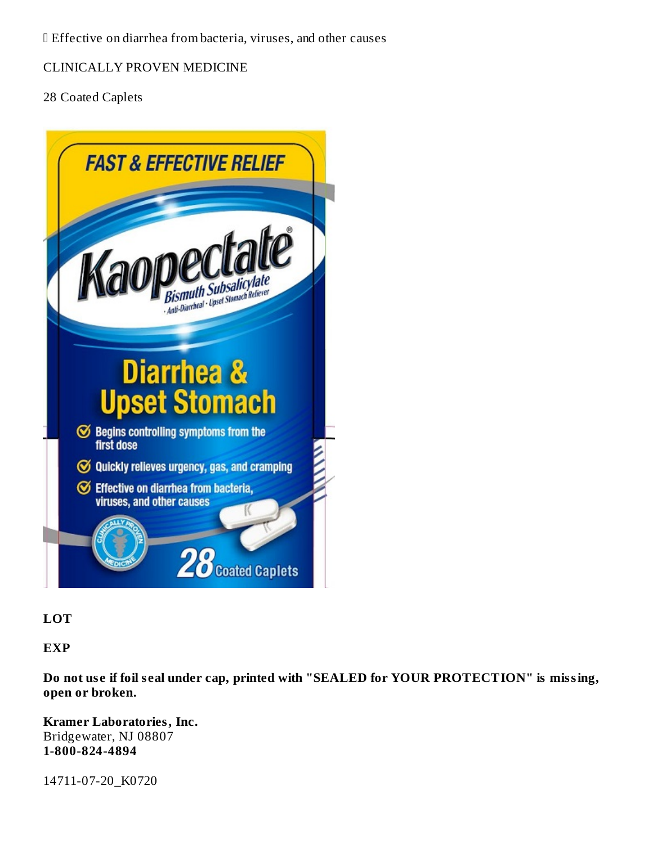Effective on diarrhea from bacteria, viruses, and other causes

CLINICALLY PROVEN MEDICINE

28 Coated Caplets



**LOT**

**EXP**

**Do not us e if foil s eal under cap, printed with "SEALED for YOUR PROTECTION" is missing, open or broken.**

**Kramer Laboratories, Inc.** Bridgewater, NJ 08807 **1-800-824-4894**

14711-07-20\_K0720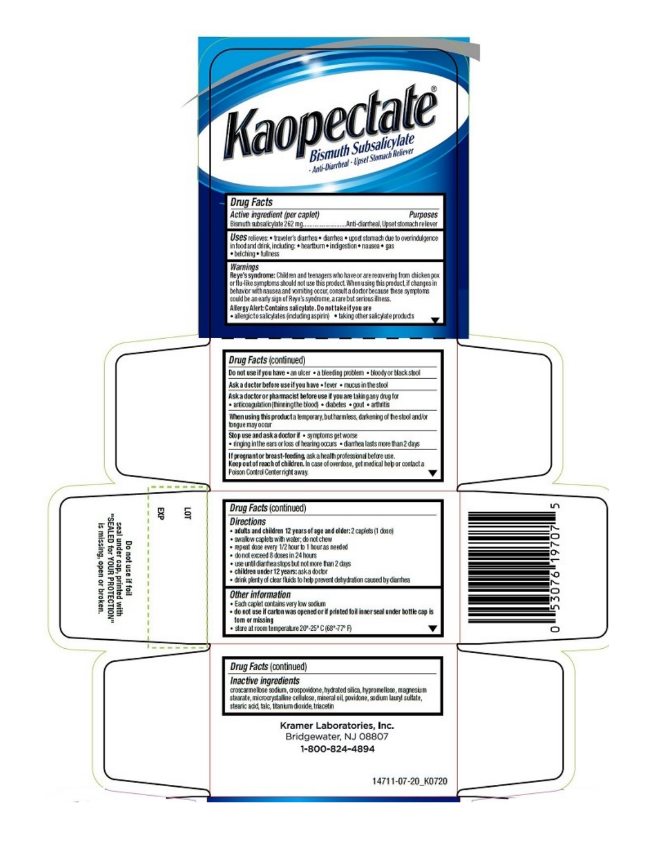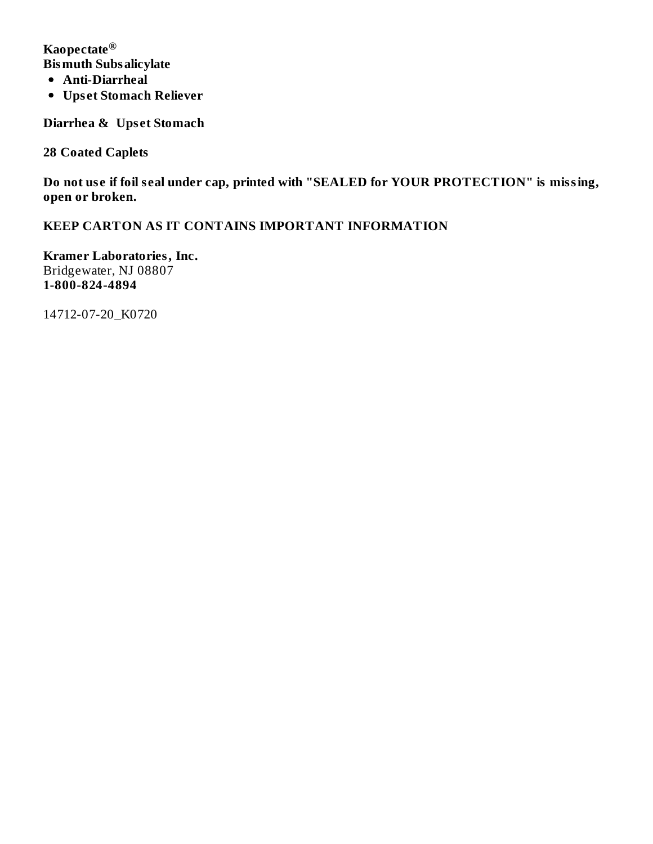**Kaopectate ®Bismuth Subsalicylate**

- **Anti-Diarrheal**
- **Ups et Stomach Reliever**

**Diarrhea & Ups et Stomach**

**28 Coated Caplets**

**Do not us e if foil s eal under cap, printed with "SEALED for YOUR PROTECTION" is missing, open or broken.**

**KEEP CARTON AS IT CONTAINS IMPORTANT INFORMATION**

**Kramer Laboratories, Inc.** Bridgewater, NJ 08807 **1-800-824-4894**

14712-07-20\_K0720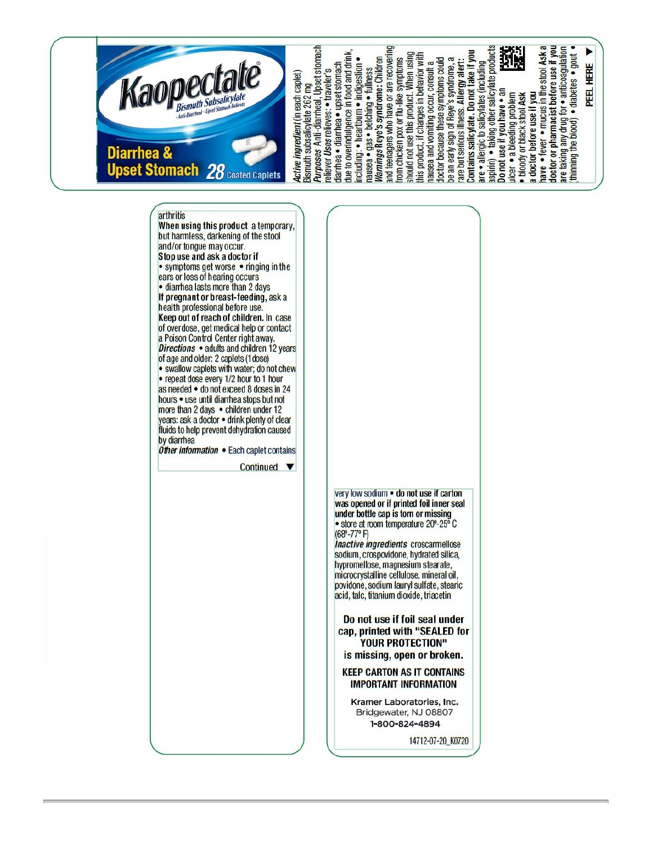

arthritis When using this product a temporary, but harmless, darkening of the stool and/or tongue may occur. Stop use and ask a doctor if • symptoms get worse • ringing in the ears or loss of hearing occurs · diarrhea lasts more than 2 days If pregnant or breast-feeding, ask a health professional before use. Keep out of reach of children. In case of overdose, get medical help or contact a Poison Control Center right away. Directions · adults and children 12 years of age and older: 2 caplets (1 dose) · swallow caplets with water; do not chew • repeat dose every 1/2 hour to 1 hour as needed • do not exceed 8 doses in 24 hours • use until diarrhea stops but not more than 2 days . children under 12 years: ask a doctor . drink plenty of clear fluids to help prevent dehydration caused by diarrhea Other information • Each caplet contains Continued  $\blacktriangledown$ 

very low sodium . do not use if carton was opened or if printed foil inner seal under bottle cap is torn or missing · store at room temperature 20°-25° C (68°-77°F)<br>Inactive ingredients croscarmellose sodium, crospovidone, hydrated silica,

hypromellose, magnesium stearate, microcrystalline cellulose, mineral oil, povidone, sodium lauryl sulfate, stearic acid, talc, titanium dioxide, triacetin

Do not use if foil seal under cap, printed with "SEALED for **YOUR PROTECTION"** is missing, open or broken.

**KEEP CARTON AS IT CONTAINS IMPORTANT INFORMATION** 

Kramer Laboratories, Inc. Bridgewater, NJ 08807 1-800-824-4894

14712-07-20\_K0720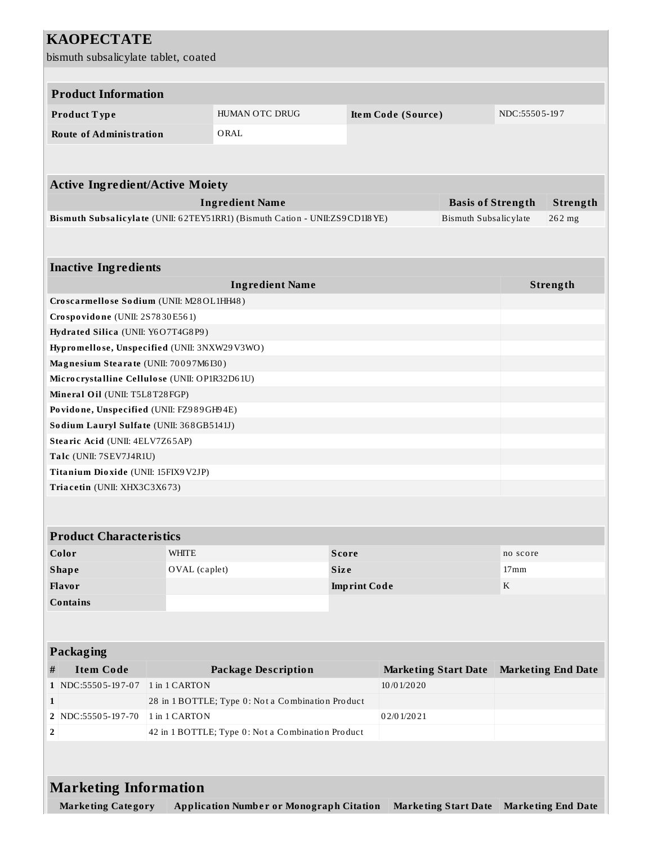| <b>KAOPECTATE</b>                                      |               |                                                                             |              |                             |                       |                           |                                           |  |
|--------------------------------------------------------|---------------|-----------------------------------------------------------------------------|--------------|-----------------------------|-----------------------|---------------------------|-------------------------------------------|--|
| bismuth subsalicylate tablet, coated                   |               |                                                                             |              |                             |                       |                           |                                           |  |
|                                                        |               |                                                                             |              |                             |                       |                           |                                           |  |
|                                                        |               |                                                                             |              |                             |                       |                           |                                           |  |
| <b>Product Information</b>                             |               |                                                                             |              |                             |                       |                           |                                           |  |
| Product Type                                           |               | HUMAN OTC DRUG                                                              |              | Item Code (Source)          |                       |                           | NDC:55505-197                             |  |
| <b>Route of Administration</b>                         |               | ORAL                                                                        |              |                             |                       |                           |                                           |  |
|                                                        |               |                                                                             |              |                             |                       |                           |                                           |  |
|                                                        |               |                                                                             |              |                             |                       |                           |                                           |  |
| <b>Active Ingredient/Active Moiety</b>                 |               |                                                                             |              |                             |                       |                           |                                           |  |
| <b>Ingredient Name</b><br><b>Basis of Strength</b>     |               |                                                                             |              |                             |                       |                           | Strength                                  |  |
|                                                        |               | Bismuth Subsalicylate (UNII: 62TEY51RR1) (Bismuth Cation - UNII:ZS9CD1I8YE) |              |                             | Bismuth Subsalicylate |                           | 262 mg                                    |  |
|                                                        |               |                                                                             |              |                             |                       |                           |                                           |  |
|                                                        |               |                                                                             |              |                             |                       |                           |                                           |  |
| <b>Inactive Ingredients</b>                            |               |                                                                             |              |                             |                       |                           |                                           |  |
|                                                        |               | <b>Ingredient Name</b>                                                      |              |                             |                       |                           | Strength                                  |  |
| Croscarmellose Sodium (UNII: M28OL1HH48)               |               |                                                                             |              |                             |                       |                           |                                           |  |
| Crospovidone (UNII: 2S7830E561)                        |               |                                                                             |              |                             |                       |                           |                                           |  |
| Hydrated Silica (UNII: Y6O7T4G8P9)                     |               |                                                                             |              |                             |                       |                           |                                           |  |
| Hypromellose, Unspecified (UNII: 3NXW29V3WO)           |               |                                                                             |              |                             |                       |                           |                                           |  |
| Magnesium Stearate (UNII: 70097M6I30)                  |               |                                                                             |              |                             |                       |                           |                                           |  |
| Microcrystalline Cellulose (UNII: OP1R32D61U)          |               |                                                                             |              |                             |                       |                           |                                           |  |
| Mineral Oil (UNII: T5L8T28FGP)                         |               |                                                                             |              |                             |                       |                           |                                           |  |
| Povidone, Unspecified (UNII: FZ989GH94E)               |               |                                                                             |              |                             |                       |                           |                                           |  |
| Sodium Lauryl Sulfate (UNII: 368GB5141J)               |               |                                                                             |              |                             |                       |                           |                                           |  |
| Stearic Acid (UNII: 4ELV7Z65AP)                        |               |                                                                             |              |                             |                       |                           |                                           |  |
| Talc (UNII: 7SEV7J4R1U)                                |               |                                                                             |              |                             |                       |                           |                                           |  |
| Titanium Dioxide (UNII: 15FIX9V2JP)                    |               |                                                                             |              |                             |                       |                           |                                           |  |
| Triacetin (UNII: XHX3C3X673)                           |               |                                                                             |              |                             |                       |                           |                                           |  |
|                                                        |               |                                                                             |              |                             |                       |                           |                                           |  |
| <b>Product Characteristics</b>                         |               |                                                                             |              |                             |                       |                           |                                           |  |
| Color                                                  | <b>WHITE</b>  |                                                                             | <b>Score</b> |                             |                       | no score                  |                                           |  |
| <b>Shape</b>                                           |               | OVAL (caplet)<br><b>Size</b>                                                |              | 17 <sub>mm</sub>            |                       |                           |                                           |  |
| Flavor                                                 |               | <b>Imprint Code</b>                                                         |              |                             |                       | $\mathbf{K}$              |                                           |  |
| <b>Contains</b>                                        |               |                                                                             |              |                             |                       |                           |                                           |  |
|                                                        |               |                                                                             |              |                             |                       |                           |                                           |  |
|                                                        |               |                                                                             |              |                             |                       |                           |                                           |  |
| Packaging                                              |               |                                                                             |              |                             |                       |                           |                                           |  |
| <b>Item Code</b><br>#                                  |               | <b>Package Description</b>                                                  |              | <b>Marketing Start Date</b> |                       | <b>Marketing End Date</b> |                                           |  |
| 1 NDC:55505-197-07                                     | 1 in 1 CARTON |                                                                             |              | 10/01/2020                  |                       |                           |                                           |  |
| $\mathbf{1}$                                           |               | 28 in 1 BOTTLE; Type 0: Not a Combination Product                           |              |                             |                       |                           |                                           |  |
| 2   NDC:55505-197-70                                   | 1 in 1 CARTON |                                                                             |              | 02/01/2021                  |                       |                           |                                           |  |
| 42 in 1 BOTTLE; Type 0: Not a Combination Product<br>2 |               |                                                                             |              |                             |                       |                           |                                           |  |
|                                                        |               |                                                                             |              |                             |                       |                           |                                           |  |
|                                                        |               |                                                                             |              |                             |                       |                           |                                           |  |
| <b>Marketing Information</b>                           |               |                                                                             |              |                             |                       |                           |                                           |  |
|                                                        |               |                                                                             |              |                             |                       |                           |                                           |  |
| <b>Marketing Category</b>                              |               | <b>Application Number or Monograph Citation</b>                             |              |                             |                       |                           | Marketing Start Date   Marketing End Date |  |